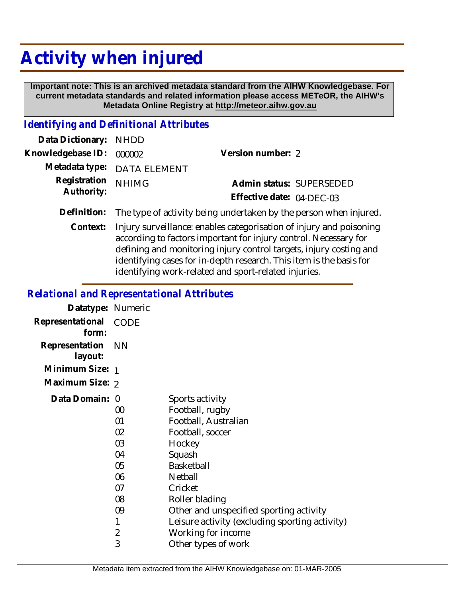## **Activity when injured**

 **Important note: This is an archived metadata standard from the AIHW Knowledgebase. For current metadata standards and related information please access METeOR, the AIHW's Metadata Online Registry at http://meteor.aihw.gov.au**

## *Identifying and Definitional Attributes*

| Data Dictionary: NHDD            |                                                                               |                           |                          |
|----------------------------------|-------------------------------------------------------------------------------|---------------------------|--------------------------|
| Knowledgebase ID: 000002         |                                                                               | Version number: 2         |                          |
|                                  | Metadata type: DATA ELEMENT                                                   |                           |                          |
| Registration NHIMG<br>Authority: |                                                                               |                           | Admin status: SUPERSEDED |
|                                  |                                                                               | Effective date: 04-DEC-03 |                          |
|                                  | Definition: The type of activity being undertaken by the person when injured. |                           |                          |

Context: Injury surveillance: enables categorisation of injury and poisoning according to factors important for injury control. Necessary for defining and monitoring injury control targets, injury costing and identifying cases for in-depth research. This item is the basis for identifying work-related and sport-related injuries.

## *Relational and Representational Attributes*

| Datatype: Numeric         |                                                    |                                                                                                                                                          |
|---------------------------|----------------------------------------------------|----------------------------------------------------------------------------------------------------------------------------------------------------------|
| Representational<br>form: | CODE                                               |                                                                                                                                                          |
| Representation<br>layout: | <b>NN</b>                                          |                                                                                                                                                          |
| Minimum Size: 1           |                                                    |                                                                                                                                                          |
| Maximum Size: 2           |                                                    |                                                                                                                                                          |
| Data Domain: 0            | 00<br>01<br>02<br>03<br>04<br>05<br>06<br>07<br>08 | Sports activity<br>Football, rugby<br>Football, Australian<br>Football, soccer<br>Hockey<br>Squash<br>Basketball<br>Netball<br>Cricket<br>Roller blading |
|                           | 09                                                 | Other and unspecified sporting activity                                                                                                                  |
|                           | 1                                                  | Leisure activity (excluding sporting activity)                                                                                                           |
|                           | $\overline{2}$<br>3                                | Working for income<br>Other types of work                                                                                                                |
|                           |                                                    |                                                                                                                                                          |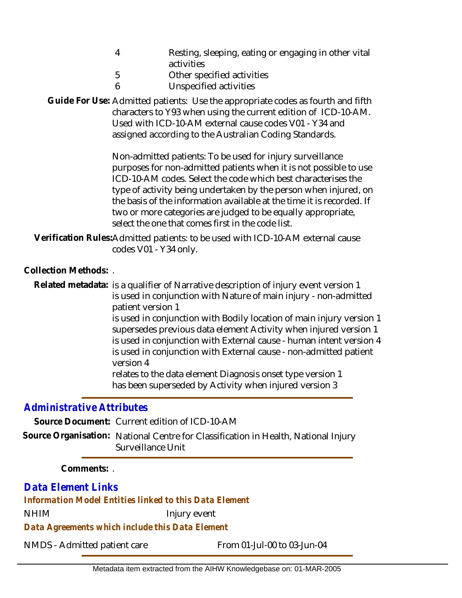| Resting, sleeping, eating or engaging in other vital |
|------------------------------------------------------|
| activities                                           |

- 5 Other specified activities
- 6 Unspecified activities

Guide For Use: Admitted patients: Use the appropriate codes as fourth and fifth characters to Y93 when using the current edition of ICD-10-AM. Used with ICD-10-AM external cause codes V01 - Y34 and assigned according to the Australian Coding Standards.

> Non-admitted patients: To be used for injury surveillance purposes for non-admitted patients when it is not possible to use ICD-10-AM codes. Select the code which best characterises the type of activity being undertaken by the person when injured, on the basis of the information available at the time it is recorded. If two or more categories are judged to be equally appropriate, select the one that comes first in the code list.

Verification Rules:Admitted patients: to be used with ICD-10-AM external cause codes V01 - Y34 only.

**Collection Methods:** .

Related metadata: is a qualifier of Narrative description of injury event version 1 is used in conjunction with Nature of main injury - non-admitted patient version 1 is used in conjunction with Bodily location of main injury version 1 supersedes previous data element Activity when injured version 1 is used in conjunction with External cause - human intent version 4 is used in conjunction with External cause - non-admitted patient version 4 relates to the data element Diagnosis onset type version 1 has been superseded by Activity when injured version 3

## *Administrative Attributes*

**Source Document:** Current edition of ICD-10-AM

Source Organisation: National Centre for Classification in Health, National Injury Surveillance Unit

**Comments:** .

*Data Element Links*

*Information Model Entities linked to this Data Element*

NHIM Injury event

*Data Agreements which include this Data Element*

NMDS - Admitted patient care From 01-Jul-00 to 03-Jun-04